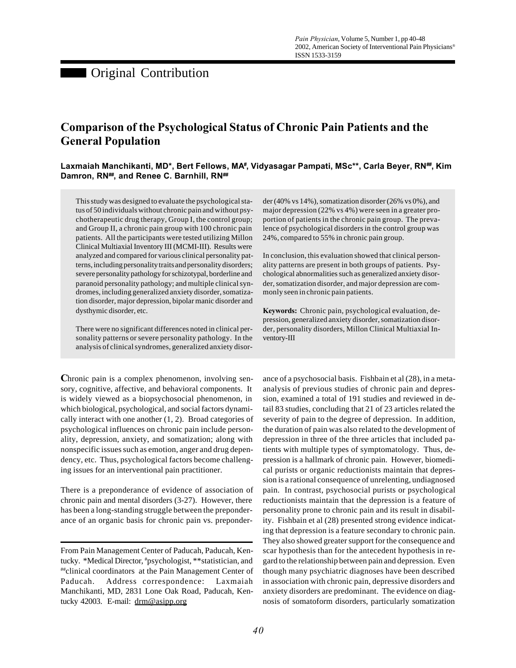# Original Contribution

# **Comparison of the Psychological Status of Chronic Pain Patients and the General Population**

# **Laxmaiah Manchikanti, MD\*, Bert Fellows, MA# , Vidyasagar Pampati, MSc\*\*, Carla Beyer, RN##, Kim Damron, RN##, and Renee C. Barnhill, RN##**

This study was designed to evaluate the psychological status of 50 individuals without chronic pain and without psychotherapeutic drug therapy, Group I, the control group; and Group II, a chronic pain group with 100 chronic pain patients. All the participants were tested utilizing Millon Clinical Multiaxial Inventory III (MCMI-III). Results were analyzed and compared for various clinical personality patterns, including personality traits and personality disorders; severe personality pathology for schizotypal, borderline and paranoid personality pathology; and multiple clinical syndromes, including generalized anxiety disorder, somatization disorder, major depression, bipolar manic disorder and dysthymic disorder, etc.

There were no significant differences noted in clinical personality patterns or severe personality pathology. In the analysis of clinical syndromes, generalized anxiety disor-

**C**hronic pain is a complex phenomenon, involving sensory, cognitive, affective, and behavioral components. It is widely viewed as a biopsychosocial phenomenon, in which biological, psychological, and social factors dynamically interact with one another (1, 2). Broad categories of psychological influences on chronic pain include personality, depression, anxiety, and somatization; along with nonspecific issues such as emotion, anger and drug dependency, etc. Thus, psychological factors become challenging issues for an interventional pain practitioner.

There is a preponderance of evidence of association of chronic pain and mental disorders (3-27). However, there has been a long-standing struggle between the preponderance of an organic basis for chronic pain vs. preponderder (40% vs 14%), somatization disorder (26% vs 0%), and major depression (22% vs 4%) were seen in a greater proportion of patients in the chronic pain group. The prevalence of psychological disorders in the control group was 24%, compared to 55% in chronic pain group.

In conclusion, this evaluation showed that clinical personality patterns are present in both groups of patients. Psychological abnormalities such as generalized anxiety disorder, somatization disorder, and major depression are commonly seen in chronic pain patients.

**Keywords:** Chronic pain, psychological evaluation, depression, generalized anxiety disorder, somatization disorder, personality disorders, Millon Clinical Multiaxial Inventory-III

ance of a psychosocial basis. Fishbain et al (28), in a metaanalysis of previous studies of chronic pain and depression, examined a total of 191 studies and reviewed in detail 83 studies, concluding that 21 of 23 articles related the severity of pain to the degree of depression. In addition, the duration of pain was also related to the development of depression in three of the three articles that included patients with multiple types of symptomatology. Thus, depression is a hallmark of chronic pain. However, biomedical purists or organic reductionists maintain that depression is a rational consequence of unrelenting, undiagnosed pain. In contrast, psychosocial purists or psychological reductionists maintain that the depression is a feature of personality prone to chronic pain and its result in disability. Fishbain et al (28) presented strong evidence indicating that depression is a feature secondary to chronic pain. They also showed greater support for the consequence and scar hypothesis than for the antecedent hypothesis in regard to the relationship between pain and depression. Even though many psychiatric diagnoses have been described in association with chronic pain, depressive disorders and anxiety disorders are predominant. The evidence on diagnosis of somatoform disorders, particularly somatization

From Pain Management Center of Paducah, Paducah, Kentucky. \*Medical Director, #psychologist, \*\*statistician, and ##clinical coordinators at the Pain Management Center of Paducah. Address correspondence: Laxmaiah Manchikanti, MD, 2831 Lone Oak Road, Paducah, Kentucky 42003. E-mail: drm@asipp.org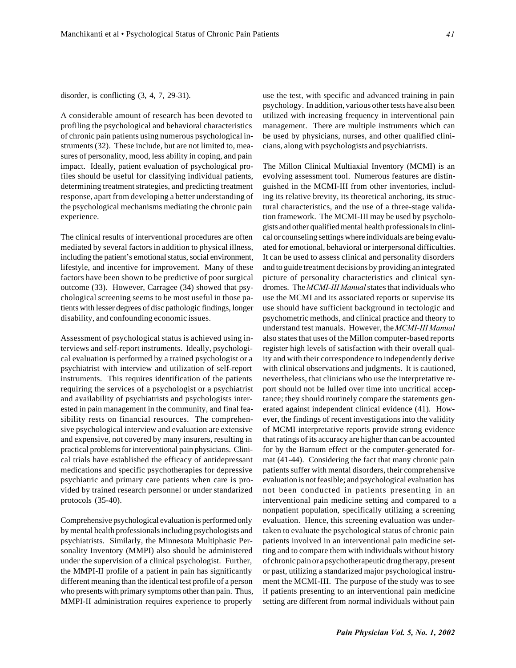#### disorder, is conflicting (3, 4, 7, 29-31).

A considerable amount of research has been devoted to profiling the psychological and behavioral characteristics of chronic pain patients using numerous psychological instruments (32). These include, but are not limited to, measures of personality, mood, less ability in coping, and pain impact. Ideally, patient evaluation of psychological profiles should be useful for classifying individual patients, determining treatment strategies, and predicting treatment response, apart from developing a better understanding of the psychological mechanisms mediating the chronic pain experience.

The clinical results of interventional procedures are often mediated by several factors in addition to physical illness, including the patient's emotional status, social environment, lifestyle, and incentive for improvement. Many of these factors have been shown to be predictive of poor surgical outcome (33). However, Carragee (34) showed that psychological screening seems to be most useful in those patients with lesser degrees of disc pathologic findings, longer disability, and confounding economic issues.

Assessment of psychological status is achieved using interviews and self-report instruments. Ideally, psychological evaluation is performed by a trained psychologist or a psychiatrist with interview and utilization of self-report instruments. This requires identification of the patients requiring the services of a psychologist or a psychiatrist and availability of psychiatrists and psychologists interested in pain management in the community, and final feasibility rests on financial resources. The comprehensive psychological interview and evaluation are extensive and expensive, not covered by many insurers, resulting in practical problems for interventional pain physicians. Clinical trials have established the efficacy of antidepressant medications and specific psychotherapies for depressive psychiatric and primary care patients when care is provided by trained research personnel or under standarized protocols (35-40).

Comprehensive psychological evaluation is performed only by mental health professionals including psychologists and psychiatrists. Similarly, the Minnesota Multiphasic Personality Inventory (MMPI) also should be administered under the supervision of a clinical psychologist. Further, the MMPI-II profile of a patient in pain has significantly different meaning than the identical test profile of a person who presents with primary symptoms other than pain. Thus, MMPI-II administration requires experience to properly

use the test, with specific and advanced training in pain psychology. In addition, various other tests have also been utilized with increasing frequency in interventional pain management. There are multiple instruments which can be used by physicians, nurses, and other qualified clinicians, along with psychologists and psychiatrists.

The Millon Clinical Multiaxial Inventory (MCMI) is an evolving assessment tool. Numerous features are distinguished in the MCMI-III from other inventories, including its relative brevity, its theoretical anchoring, its structural characteristics, and the use of a three-stage validation framework. The MCMI-III may be used by psychologists and other qualified mental health professionals in clinical or counseling settings where individuals are being evaluated for emotional, behavioral or interpersonal difficulties. It can be used to assess clinical and personality disorders and to guide treatment decisions by providing an integrated picture of personality characteristics and clinical syndromes. The *MCMI-III Manual* states that individuals who use the MCMI and its associated reports or supervise its use should have sufficient background in tectologic and psychometric methods, and clinical practice and theory to understand test manuals. However, the *MCMI-III Manual* also states that uses of the Millon computer-based reports register high levels of satisfaction with their overall quality and with their correspondence to independently derive with clinical observations and judgments. It is cautioned, nevertheless, that clinicians who use the interpretative report should not be lulled over time into uncritical acceptance; they should routinely compare the statements generated against independent clinical evidence (41). However, the findings of recent investigations into the validity of MCMI interpretative reports provide strong evidence that ratings of its accuracy are higher than can be accounted for by the Barnum effect or the computer-generated format (41-44). Considering the fact that many chronic pain patients suffer with mental disorders, their comprehensive evaluation is not feasible; and psychological evaluation has not been conducted in patients presenting in an interventional pain medicine setting and compared to a nonpatient population, specifically utilizing a screening evaluation. Hence, this screening evaluation was undertaken to evaluate the psychological status of chronic pain patients involved in an interventional pain medicine setting and to compare them with individuals without history of chronic pain or a psychotherapeutic drug therapy, present or past, utilizing a standarized major psychological instrument the MCMI-III. The purpose of the study was to see if patients presenting to an interventional pain medicine setting are different from normal individuals without pain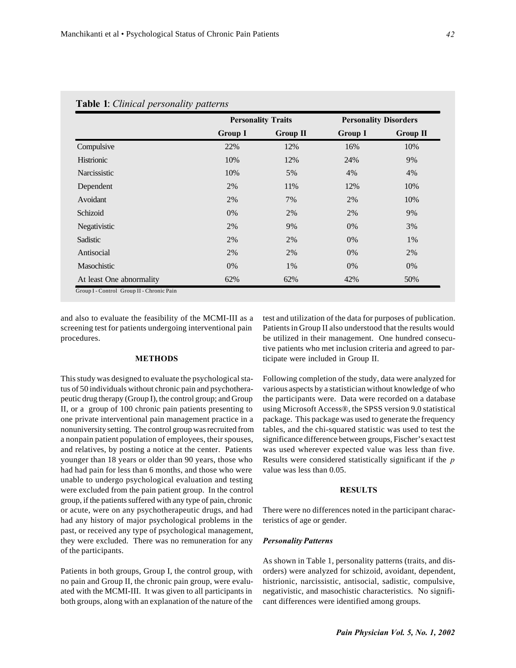|                          | <b>Personality Traits</b> |            | <b>Personality Disorders</b> |            |
|--------------------------|---------------------------|------------|------------------------------|------------|
|                          | <b>Group I</b>            | $Group$ II | <b>Group I</b>               | $Group$ II |
| Compulsive               | 22%                       | 12%        | 16%                          | 10%        |
| Histrionic               | 10%                       | 12%        | 24%                          | 9%         |
| Narcissistic             | 10%                       | 5%         | 4%                           | 4%         |
| Dependent                | 2%                        | 11%        | 12%                          | 10%        |
| Avoidant                 | 2%                        | 7%         | $2\%$                        | 10%        |
| Schizoid                 | 0%                        | 2%         | 2%                           | 9%         |
| Negativistic             | 2%                        | 9%         | 0%                           | 3%         |
| Sadistic                 | 2%                        | 2%         | 0%                           | 1%         |
| Antisocial               | 2%                        | 2%         | 0%                           | 2%         |
| Masochistic              | $0\%$                     | 1%         | 0%                           | 0%         |
| At least One abnormality | 62%                       | 62%        | 42%                          | 50%        |

### **Table 1**: *Clinical personality patterns*

Group I - Control Group II - Chronic Pain

and also to evaluate the feasibility of the MCMI-III as a screening test for patients undergoing interventional pain procedures.

#### **METHODS**

This study was designed to evaluate the psychological status of 50 individuals without chronic pain and psychotherapeutic drug therapy (Group I), the control group; and Group II, or a group of 100 chronic pain patients presenting to one private interventional pain management practice in a nonuniversity setting. The control group was recruited from a nonpain patient population of employees, their spouses, and relatives, by posting a notice at the center. Patients younger than 18 years or older than 90 years, those who had had pain for less than 6 months, and those who were unable to undergo psychological evaluation and testing were excluded from the pain patient group. In the control group, if the patients suffered with any type of pain, chronic or acute, were on any psychotherapeutic drugs, and had had any history of major psychological problems in the past, or received any type of psychological management, they were excluded. There was no remuneration for any of the participants.

Patients in both groups, Group I, the control group, with no pain and Group II, the chronic pain group, were evaluated with the MCMI-III. It was given to all participants in both groups, along with an explanation of the nature of the test and utilization of the data for purposes of publication. Patients in Group II also understood that the results would be utilized in their management. One hundred consecutive patients who met inclusion criteria and agreed to participate were included in Group II.

Following completion of the study, data were analyzed for various aspects by a statistician without knowledge of who the participants were. Data were recorded on a database using Microsoft Access®, the SPSS version 9.0 statistical package. This package was used to generate the frequency tables, and the chi-squared statistic was used to test the significance difference between groups, Fischer's exact test was used wherever expected value was less than five. Results were considered statistically significant if the *p* value was less than 0.05.

#### **RESULTS**

There were no differences noted in the participant characteristics of age or gender.

#### *Personality Patterns*

As shown in Table 1, personality patterns (traits, and disorders) were analyzed for schizoid, avoidant, dependent, histrionic, narcissistic, antisocial, sadistic, compulsive, negativistic, and masochistic characteristics. No significant differences were identified among groups.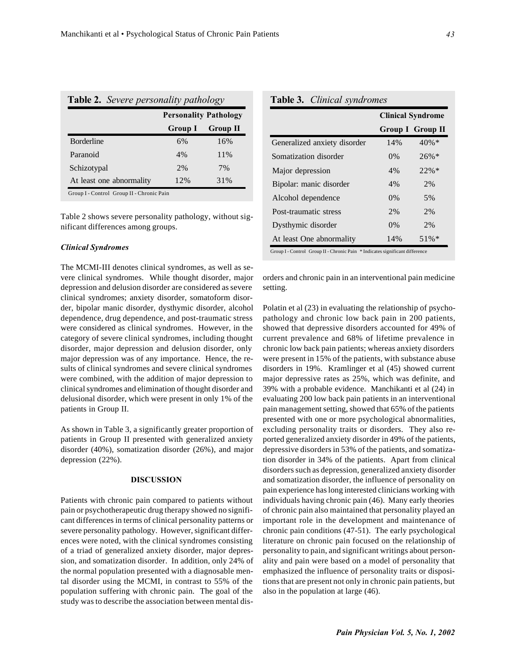| <b>Table 2.</b> Severe personality pathology |                 |  |  |  |
|----------------------------------------------|-----------------|--|--|--|
| <b>Personality Pathology</b>                 |                 |  |  |  |
| <b>Group I</b>                               | <b>Group II</b> |  |  |  |
| 6%                                           | 16%             |  |  |  |
| 4%                                           | 11\%            |  |  |  |
| 2%                                           | 7%              |  |  |  |
| 12%                                          | 31%             |  |  |  |
|                                              |                 |  |  |  |

Group I - Control Group II - Chronic Pain

Table 2 shows severe personality pathology, without significant differences among groups.

#### *Clinical Syndromes*

The MCMI-III denotes clinical syndromes, as well as severe clinical syndromes. While thought disorder, major depression and delusion disorder are considered as severe clinical syndromes; anxiety disorder, somatoform disorder, bipolar manic disorder, dysthymic disorder, alcohol dependence, drug dependence, and post-traumatic stress were considered as clinical syndromes. However, in the category of severe clinical syndromes, including thought disorder, major depression and delusion disorder, only major depression was of any importance. Hence, the results of clinical syndromes and severe clinical syndromes were combined, with the addition of major depression to clinical syndromes and elimination of thought disorder and delusional disorder, which were present in only 1% of the patients in Group II.

As shown in Table 3, a significantly greater proportion of patients in Group II presented with generalized anxiety disorder (40%), somatization disorder (26%), and major depression (22%).

## **DISCUSSION**

Patients with chronic pain compared to patients without pain or psychotherapeutic drug therapy showed no significant differences in terms of clinical personality patterns or severe personality pathology. However, significant differences were noted, with the clinical syndromes consisting of a triad of generalized anxiety disorder, major depression, and somatization disorder. In addition, only 24% of the normal population presented with a diagnosable mental disorder using the MCMI, in contrast to 55% of the population suffering with chronic pain. The goal of the study was to describe the association between mental dis-

|  |  | Table 3. Clinical syndromes |  |
|--|--|-----------------------------|--|
|--|--|-----------------------------|--|

| <b>Clinical Syndrome</b> |                         |  |
|--------------------------|-------------------------|--|
|                          | <b>Group I</b> Group II |  |
| 14%                      | $40\% *$                |  |
| $0\%$                    | $26\% *$                |  |
| 4%                       | $22%$ *                 |  |
| 4%                       | 2%                      |  |
| $0\%$                    | 5%                      |  |
| 2%                       | 2%                      |  |
| $0\%$                    | 2%                      |  |
| 14%                      | $51\%$ *                |  |
|                          |                         |  |

orders and chronic pain in an interventional pain medicine setting.

Polatin et al (23) in evaluating the relationship of psychopathology and chronic low back pain in 200 patients, showed that depressive disorders accounted for 49% of current prevalence and 68% of lifetime prevalence in chronic low back pain patients; whereas anxiety disorders were present in 15% of the patients, with substance abuse disorders in 19%. Kramlinger et al (45) showed current major depressive rates as 25%, which was definite, and 39% with a probable evidence. Manchikanti et al (24) in evaluating 200 low back pain patients in an interventional pain management setting, showed that 65% of the patients presented with one or more psychological abnormalities, excluding personality traits or disorders. They also reported generalized anxiety disorder in 49% of the patients, depressive disorders in 53% of the patients, and somatization disorder in 34% of the patients. Apart from clinical disorders such as depression, generalized anxiety disorder and somatization disorder, the influence of personality on pain experience has long interested clinicians working with individuals having chronic pain (46). Many early theories of chronic pain also maintained that personality played an important role in the development and maintenance of chronic pain conditions (47-51). The early psychological literature on chronic pain focused on the relationship of personality to pain, and significant writings about personality and pain were based on a model of personality that emphasized the influence of personality traits or dispositions that are present not only in chronic pain patients, but also in the population at large (46).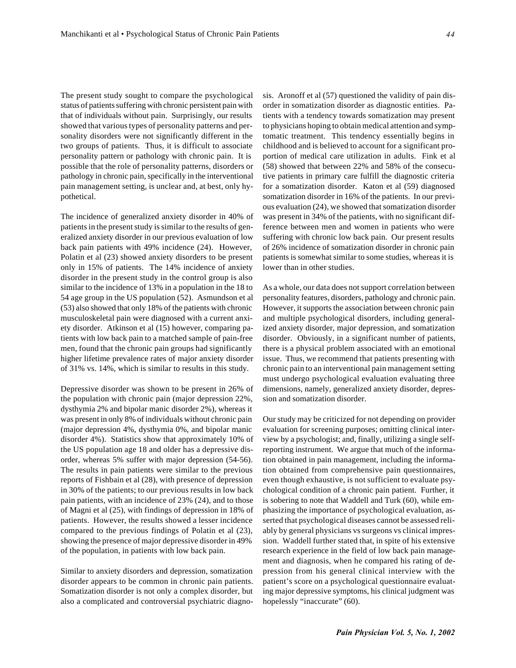The present study sought to compare the psychological status of patients suffering with chronic persistent pain with that of individuals without pain. Surprisingly, our results showed that various types of personality patterns and personality disorders were not significantly different in the two groups of patients. Thus, it is difficult to associate personality pattern or pathology with chronic pain. It is possible that the role of personality patterns, disorders or pathology in chronic pain, specifically in the interventional pain management setting, is unclear and, at best, only hypothetical.

The incidence of generalized anxiety disorder in 40% of patients in the present study is similar to the results of generalized anxiety disorder in our previous evaluation of low back pain patients with 49% incidence (24). However, Polatin et al (23) showed anxiety disorders to be present only in 15% of patients. The 14% incidence of anxiety disorder in the present study in the control group is also similar to the incidence of 13% in a population in the 18 to 54 age group in the US population (52). Asmundson et al (53) also showed that only 18% of the patients with chronic musculoskeletal pain were diagnosed with a current anxiety disorder. Atkinson et al (15) however, comparing patients with low back pain to a matched sample of pain-free men, found that the chronic pain groups had significantly higher lifetime prevalence rates of major anxiety disorder of 31% vs. 14%, which is similar to results in this study.

Depressive disorder was shown to be present in 26% of the population with chronic pain (major depression 22%, dysthymia 2% and bipolar manic disorder 2%), whereas it was present in only 8% of individuals without chronic pain (major depression 4%, dysthymia 0%, and bipolar manic disorder 4%). Statistics show that approximately 10% of the US population age 18 and older has a depressive disorder, whereas 5% suffer with major depression (54-56). The results in pain patients were similar to the previous reports of Fishbain et al (28), with presence of depression in 30% of the patients; to our previous results in low back pain patients, with an incidence of 23% (24), and to those of Magni et al (25), with findings of depression in 18% of patients. However, the results showed a lesser incidence compared to the previous findings of Polatin et al (23), showing the presence of major depressive disorder in 49% of the population, in patients with low back pain.

Similar to anxiety disorders and depression, somatization disorder appears to be common in chronic pain patients. Somatization disorder is not only a complex disorder, but also a complicated and controversial psychiatric diagno-

sis. Aronoff et al (57) questioned the validity of pain disorder in somatization disorder as diagnostic entities. Patients with a tendency towards somatization may present to physicians hoping to obtain medical attention and symptomatic treatment. This tendency essentially begins in childhood and is believed to account for a significant proportion of medical care utilization in adults. Fink et al (58) showed that between 22% and 58% of the consecutive patients in primary care fulfill the diagnostic criteria for a somatization disorder. Katon et al (59) diagnosed somatization disorder in 16% of the patients. In our previous evaluation (24), we showed that somatization disorder was present in 34% of the patients, with no significant difference between men and women in patients who were suffering with chronic low back pain. Our present results of 26% incidence of somatization disorder in chronic pain patients is somewhat similar to some studies, whereas it is lower than in other studies.

As a whole, our data does not support correlation between personality features, disorders, pathology and chronic pain. However, it supports the association between chronic pain and multiple psychological disorders, including generalized anxiety disorder, major depression, and somatization disorder. Obviously, in a significant number of patients, there is a physical problem associated with an emotional issue. Thus, we recommend that patients presenting with chronic pain to an interventional pain management setting must undergo psychological evaluation evaluating three dimensions, namely, generalized anxiety disorder, depression and somatization disorder.

Our study may be criticized for not depending on provider evaluation for screening purposes; omitting clinical interview by a psychologist; and, finally, utilizing a single selfreporting instrument. We argue that much of the information obtained in pain management, including the information obtained from comprehensive pain questionnaires, even though exhaustive, is not sufficient to evaluate psychological condition of a chronic pain patient. Further, it is sobering to note that Waddell and Turk (60), while emphasizing the importance of psychological evaluation, asserted that psychological diseases cannot be assessed reliably by general physicians vs surgeons vs clinical impression. Waddell further stated that, in spite of his extensive research experience in the field of low back pain management and diagnosis, when he compared his rating of depression from his general clinical interview with the patient's score on a psychological questionnaire evaluating major depressive symptoms, his clinical judgment was hopelessly "inaccurate" (60).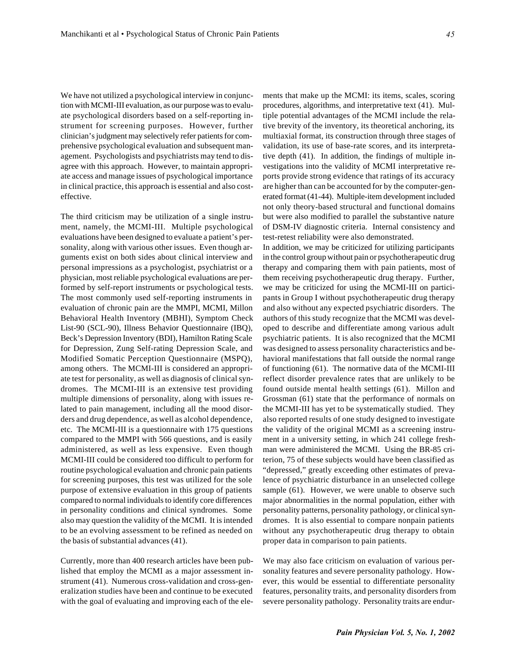We have not utilized a psychological interview in conjunction with MCMI-III evaluation, as our purpose was to evaluate psychological disorders based on a self-reporting instrument for screening purposes. However, further clinician's judgment may selectively refer patients for comprehensive psychological evaluation and subsequent management. Psychologists and psychiatrists may tend to disagree with this approach. However, to maintain appropriate access and manage issues of psychological importance in clinical practice, this approach is essential and also costeffective.

The third criticism may be utilization of a single instrument, namely, the MCMI-III. Multiple psychological evaluations have been designed to evaluate a patient's personality, along with various other issues. Even though arguments exist on both sides about clinical interview and personal impressions as a psychologist, psychiatrist or a physician, most reliable psychological evaluations are performed by self-report instruments or psychological tests. The most commonly used self-reporting instruments in evaluation of chronic pain are the MMPI, MCMI, Millon Behavioral Health Inventory (MBHI), Symptom Check List-90 (SCL-90), Illness Behavior Questionnaire (IBQ), Beck's Depression Inventory (BDI), Hamilton Rating Scale for Depression, Zung Self-rating Depression Scale, and Modified Somatic Perception Questionnaire (MSPQ), among others. The MCMI-III is considered an appropriate test for personality, as well as diagnosis of clinical syndromes. The MCMI-III is an extensive test providing multiple dimensions of personality, along with issues related to pain management, including all the mood disorders and drug dependence, as well as alcohol dependence, etc. The MCMI-III is a questionnaire with 175 questions compared to the MMPI with 566 questions, and is easily administered, as well as less expensive. Even though MCMI-III could be considered too difficult to perform for routine psychological evaluation and chronic pain patients for screening purposes, this test was utilized for the sole purpose of extensive evaluation in this group of patients compared to normal individuals to identify core differences in personality conditions and clinical syndromes. Some also may question the validity of the MCMI. It is intended to be an evolving assessment to be refined as needed on the basis of substantial advances (41).

Currently, more than 400 research articles have been published that employ the MCMI as a major assessment instrument (41). Numerous cross-validation and cross-generalization studies have been and continue to be executed with the goal of evaluating and improving each of the ele-

ments that make up the MCMI: its items, scales, scoring procedures, algorithms, and interpretative text (41). Multiple potential advantages of the MCMI include the relative brevity of the inventory, its theoretical anchoring, its multiaxial format, its construction through three stages of validation, its use of base-rate scores, and its interpretative depth (41). In addition, the findings of multiple investigations into the validity of MCMI interpretative reports provide strong evidence that ratings of its accuracy are higher than can be accounted for by the computer-generated format (41-44). Multiple-item development included not only theory-based structural and functional domains but were also modified to parallel the substantive nature of DSM-IV diagnostic criteria. Internal consistency and test-retest reliability were also demonstrated.

In addition, we may be criticized for utilizing participants in the control group without pain or psychotherapeutic drug therapy and comparing them with pain patients, most of them receiving psychotherapeutic drug therapy. Further, we may be criticized for using the MCMI-III on participants in Group I without psychotherapeutic drug therapy and also without any expected psychiatric disorders. The authors of this study recognize that the MCMI was developed to describe and differentiate among various adult psychiatric patients. It is also recognized that the MCMI was designed to assess personality characteristics and behavioral manifestations that fall outside the normal range of functioning (61). The normative data of the MCMI-III reflect disorder prevalence rates that are unlikely to be found outside mental health settings (61). Millon and Grossman (61) state that the performance of normals on the MCMI-III has yet to be systematically studied. They also reported results of one study designed to investigate the validity of the original MCMI as a screening instrument in a university setting, in which 241 college freshman were administered the MCMI. Using the BR-85 criterion, 75 of these subjects would have been classified as "depressed," greatly exceeding other estimates of prevalence of psychiatric disturbance in an unselected college sample (61). However, we were unable to observe such major abnormalities in the normal population, either with personality patterns, personality pathology, or clinical syndromes. It is also essential to compare nonpain patients without any psychotherapeutic drug therapy to obtain proper data in comparison to pain patients.

We may also face criticism on evaluation of various personality features and severe personality pathology. However, this would be essential to differentiate personality features, personality traits, and personality disorders from severe personality pathology. Personality traits are endur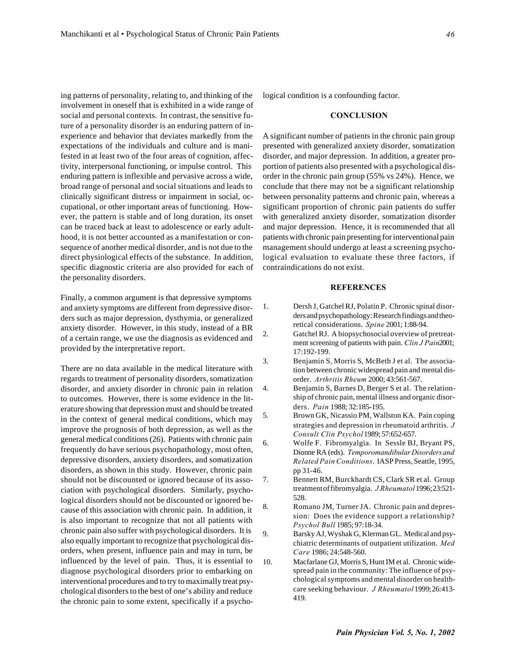ing patterns of personality, relating to, and thinking of the involvement in oneself that is exhibited in a wide range of social and personal contexts. In contrast, the sensitive future of a personality disorder is an enduring pattern of inexperience and behavior that deviates markedly from the expectations of the individuals and culture and is manifested in at least two of the four areas of cognition, affectivity, interpersonal functioning, or impulse control. This enduring pattern is inflexible and pervasive across a wide, broad range of personal and social situations and leads to clinically significant distress or impairment in social, occupational, or other important areas of functioning. However, the pattern is stable and of long duration, its onset can be traced back at least to adolescence or early adulthood, it is not better accounted as a manifestation or consequence of another medical disorder, and is not due to the direct physiological effects of the substance. In addition, specific diagnostic criteria are also provided for each of the personality disorders.

Finally, a common argument is that depressive symptoms and anxiety symptoms are different from depressive disorders such as major depression, dysthymia, or generalized anxiety disorder. However, in this study, instead of a BR of a certain range, we use the diagnosis as evidenced and provided by the interpretative report.

There are no data available in the medical literature with regards to treatment of personality disorders, somatization disorder, and anxiety disorder in chronic pain in relation to outcomes. However, there is some evidence in the literature showing that depression must and should be treated in the context of general medical conditions, which may improve the prognosis of both depression, as well as the general medical conditions (26). Patients with chronic pain frequently do have serious psychopathology, most often, depressive disorders, anxiety disorders, and somatization disorders, as shown in this study. However, chronic pain should not be discounted or ignored because of its association with psychological disorders. Similarly, psychological disorders should not be discounted or ignored because of this association with chronic pain. In addition, it is also important to recognize that not all patients with chronic pain also suffer with psychological disorders. It is also equally important to recognize that psychological disorders, when present, influence pain and may in turn, be influenced by the level of pain. Thus, it is essential to diagnose psychological disorders prior to embarking on interventional procedures and to try to maximally treat psychological disorders to the best of one's ability and reduce the chronic pain to some extent, specifically if a psychological condition is a confounding factor.

#### **CONCLUSION**

A significant number of patients in the chronic pain group presented with generalized anxiety disorder, somatization disorder, and major depression. In addition, a greater proportion of patients also presented with a psychological disorder in the chronic pain group (55% vs 24%). Hence, we conclude that there may not be a significant relationship between personality patterns and chronic pain, whereas a significant proportion of chronic pain patients do suffer with generalized anxiety disorder, somatization disorder and major depression. Hence, it is recommended that all patients with chronic pain presenting for interventional pain management should undergo at least a screening psychological evaluation to evaluate these three factors, if contraindications do not exist.

### **REFERENCES**

- 1. Dersh J, Gatchel RJ, Polatin P. Chronic spinal disorders and psychopathology: Research findings and theoretical considerations. *Spine* 2001; 1:88-94.
- 2. Gatchel RJ. A biopsychosocial overview of pretreatment screening of patients with pain. *Clin J Pain* 2001; 17:192-199.
- 3. Benjamin S, Morris S, McBeth J et al. The association between chronic widespread pain and mental disorder. *Arthritis Rheum* 2000; 43:561-567.
- 4. Benjamin S, Barnes D, Berger S et al. The relationship of chronic pain, mental illness and organic disorders. *Pain* 1988; 32:185-195.
- 5. Brown GK, Nicassio PM, Wallston KA. Pain coping strategies and depression in rheumatoid arthritis. *J Consult Clin Psychol* 1989; 57:652-657.
- 6. Wolfe F. Fibromyalgia. In Sessle BJ, Bryant PS, Dionne RA (eds). *Temporomandibular Disorders and Related Pain Conditions*. IASP Press, Seattle, 1995, pp 31-46.
- 7. Bennett RM, Burckhardt CS, Clark SR et al. Group treatment of fibromyalgia. *J Rheumatol* 1996; 23:521- 528.
- 8. Romano JM, Turner JA. Chronic pain and depression: Does the evidence support a relationship? *Psychol Bull* 1985; 97:18-34.
- 9. Barsky AJ, Wyshak G, Klerman GL. Medical and psychiatric determinants of outpatient utilization. *Med Care* 1986; 24:548-560.
- 10. Macfarlane GJ, Morris S, Hunt IM et al. Chronic widespread pain in the community: The influence of psychological symptoms and mental disorder on healthcare seeking behaviour. *J Rheumatol* 1999; 26:413- 419.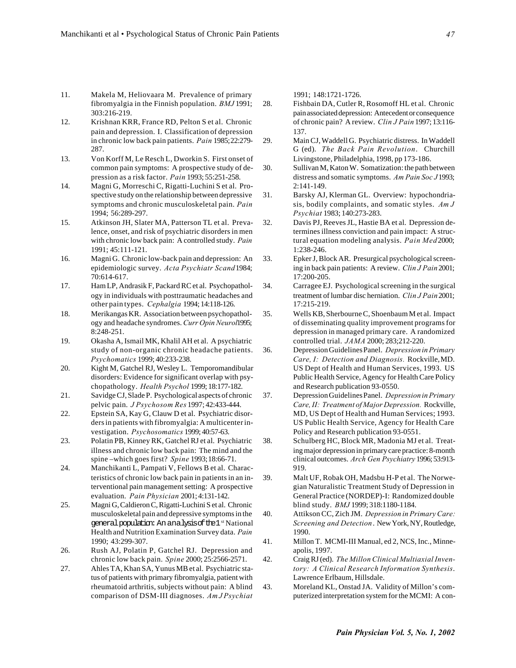- 11. Makela M, Heliovaara M. Prevalence of primary fibromyalgia in the Finnish population. *BMJ* 1991; 303:216-219.
- 12. Krishnan KRR, France RD, Pelton S et al. Chronic pain and depression. I. Classification of depression in chronic low back pain patients. *Pain* 1985; 22:279- 287.
- 13. Von Korff M, Le Resch L, Dworkin S. First onset of common pain symptoms: A prospective study of depression as a risk factor. *Pain* 1993; 55:251-258.
- 14. Magni G, Morreschi C, Rigatti-Luchini S et al. Prospective study on the relationship between depressive symptoms and chronic musculoskeletal pain. *Pain* 1994; 56:289-297.
- 15. Atkinson JH, Slater MA, Patterson TL et al. Prevalence, onset, and risk of psychiatric disorders in men with chronic low back pain: A controlled study. *Pain* 1991; 45:111-121.
- 16. Magni G. Chronic low-back pain and depression: An epidemiologic survey. *Acta Psychiatr Scand* 1984; 70:614-617.
- 17. Ham LP, Andrasik F, Packard RC et al. Psychopathology in individuals with posttraumatic headaches and other pain types. *Cephalgia* 1994; 14:118-126.
- 18. Merikangas KR. Association between psychopathology and headache syndromes. *Curr Opin Neurol* 1995; 8:248-251.
- 19. Okasha A, Ismail MK, Khalil AH et al. A psychiatric study of non-organic chronic headache patients. *Psychomatics* 1999; 40:233-238.
- 20. Kight M, Gatchel RJ, Wesley L. Temporomandibular disorders: Evidence for significant overlap with psychopathology. *Health Psychol* 1999; 18:177-182.
- 21. Savidge CJ, Slade P. Psychological aspects of chronic pelvic pain. *J Psychosom Res* 1997; 42:433-444.
- 22. Epstein SA, Kay G, Clauw D et al. Psychiatric disorders in patients with fibromyalgia: A multicenter investigation. *Psychosomatics* 1999; 40:57-63.
- 23. Polatin PB, Kinney RK, Gatchel RJ et al. Psychiatric illness and chronic low back pain: The mind and the spine –which goes first? *Spine* 1993; 18:66-71.
- 24. Manchikanti L, Pampati V, Fellows B et al. Characteristics of chronic low back pain in patients in an interventional pain management setting: A prospective evaluation. *Pain Physician* 2001; 4:131-142.
- 25. Magni G, Caldieron C, Rigatti-Luchini S et al. Chronic musculoskeletal pain and depressive symptoms in the general population: An analysis of the 1st National Health and Nutrition Examination Survey data. *Pain* 1990; 43:299-307.
- 26. Rush AJ, Polatin P, Gatchel RJ. Depression and chronic low back pain. *Spine* 2000; 25:2566-2571.
- 27. Ahles TA, Khan SA, Yunus MB et al. Psychiatric status of patients with primary fibromyalgia, patient with rheumatoid arthritis, subjects without pain: A blind comparison of DSM-III diagnoses. *Am J Psychiat*

1991; 148:1721-1726.

- 28. Fishbain DA, Cutler R, Rosomoff HL et al. Chronic pain associated depression: Antecedent or consequence of chronic pain? A review. *Clin J Pain* 1997; 13:116- 137.
- 29. Main CJ, Waddell G. Psychiatric distress. In Waddell G (ed). *The Back Pain Revolution*. Churchill Livingstone, Philadelphia, 1998, pp 173-186.
- 30. Sullivan M, Katon W. Somatization: the path between distress and somatic symptoms. *Am Pain Soc J* 1993; 2:141-149.
- 31. Barsky AJ, Klerman GL. Overview: hypochondriasis, bodily complaints, and somatic styles. *Am J Psychiat* 1983; 140:273-283.
- 32. Davis PJ, Reeves JL, Hastie BA et al. Depression determines illness conviction and pain impact: A structural equation modeling analysis. *Pain Med* 2000; 1:238-246.
- 33. Epker J, Block AR. Presurgical psychological screening in back pain patients: A review. *Clin J Pain* 2001; 17:200-205.
- 34. Carragee EJ. Psychological screening in the surgical treatment of lumbar disc herniation. *Clin J Pain* 2001; 17:215-219.
- 35. Wells KB, Sherbourne C, Shoenbaum M et al. Impact of disseminating quality improvement programs for depression in managed primary care. A randomized controlled trial. *JAMA* 2000; 283;212-220.
- 36. Depression Guidelines Panel. *Depression in Primary Care, I: Detection and Diagnosis.* Rockville, MD. US Dept of Health and Human Services, 1993. US Public Health Service, Agency for Health Care Policy and Research publication 93-0550.
- 37. Depression Guidelines Panel. *Depression in Primary Care, II: Treatment of Major Depression.* Rockville, MD, US Dept of Health and Human Services; 1993. US Public Health Service, Agency for Health Care Policy and Research publication 93-0551.
- 38. Schulberg HC, Block MR, Madonia MJ et al. Treating major depression in primary care practice: 8-month clinical outcomes. *Arch Gen Psychiatry* 1996; 53:913- 919.
- 39. Malt UF, Robak OH, Madsbu H-P et al. The Norwegian Naturalistic Treatment Study of Depression in General Practice (NORDEP)-I: Randomized double blind study. *BMJ* 1999; 318:1180-1184.
- 40. Attikson CC, Zich JM. *Depression in Primary Care: Screening and Detection*. New York, NY, Routledge, 1990.
- 41. Millon T. MCMI-III Manual, ed 2, NCS, Inc., Minneapolis, 1997.
- 42. Craig RJ (ed). *The Millon Clinical Multiaxial Inventory: A Clinical Research Information Synthesis*. Lawrence Erlbaum, Hillsdale.
- 43. Moreland KL, Onstad JA. Validity of Millon's computerized interpretation system for the MCMI: A con-